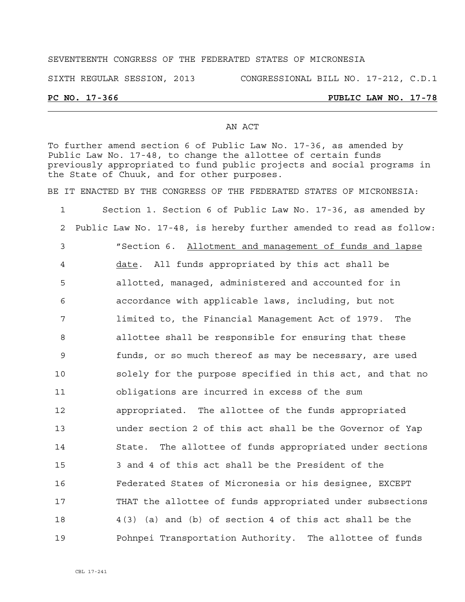# SEVENTEENTH CONGRESS OF THE FEDERATED STATES OF MICRONESIA

SIXTH REGULAR SESSION, 2013 CONGRESSIONAL BILL NO. 17-212, C.D.1

## **PC NO. 17-366 PUBLIC LAW NO. 17-78**

### AN ACT

To further amend section 6 of Public Law No. 17-36, as amended by Public Law No. 17-48, to change the allottee of certain funds previously appropriated to fund public projects and social programs in the State of Chuuk, and for other purposes.

BE IT ENACTED BY THE CONGRESS OF THE FEDERATED STATES OF MICRONESIA:

1 Section 1. Section 6 of Public Law No. 17-36, as amended by 2 Public Law No. 17-48, is hereby further amended to read as follow: 3 "Section 6. Allotment and management of funds and lapse 4 date. All funds appropriated by this act shall be 5 allotted, managed, administered and accounted for in 6 accordance with applicable laws, including, but not 7 limited to, the Financial Management Act of 1979. The 8 allottee shall be responsible for ensuring that these 9 funds, or so much thereof as may be necessary, are used 10 solely for the purpose specified in this act, and that no 11 obligations are incurred in excess of the sum 12 appropriated. The allottee of the funds appropriated 13 under section 2 of this act shall be the Governor of Yap 14 State. The allottee of funds appropriated under sections 15 3 and 4 of this act shall be the President of the 16 Federated States of Micronesia or his designee, EXCEPT 17 THAT the allottee of funds appropriated under subsections 18 4(3) (a) and (b) of section 4 of this act shall be the 19 Pohnpei Transportation Authority. The allottee of funds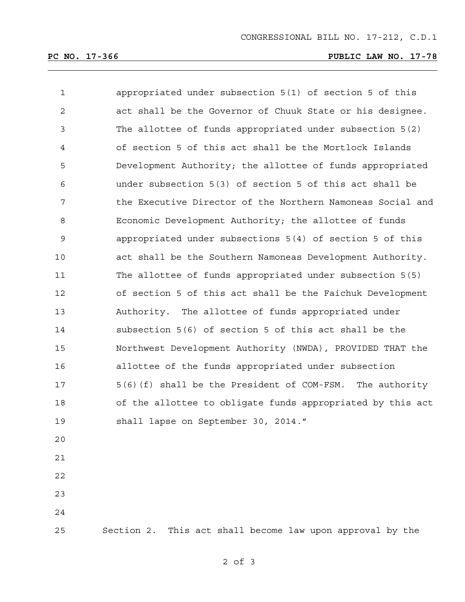# **PC NO. 17-366 PUBLIC LAW NO. 17-78**

| $\mathbf{1}$   | appropriated under subsection 5(1) of section 5 of this    |
|----------------|------------------------------------------------------------|
| $\mathbf{2}$   | act shall be the Governor of Chuuk State or his designee.  |
| 3              | The allottee of funds appropriated under subsection 5(2)   |
| $\overline{4}$ | of section 5 of this act shall be the Mortlock Islands     |
| 5              | Development Authority; the allottee of funds appropriated  |
| 6              | under subsection 5(3) of section 5 of this act shall be    |
| 7              | the Executive Director of the Northern Namoneas Social and |
| 8              | Economic Development Authority; the allottee of funds      |
| 9              | appropriated under subsections 5(4) of section 5 of this   |
| 10             | act shall be the Southern Namoneas Development Authority.  |
| 11             | The allottee of funds appropriated under subsection 5(5)   |
| 12             | of section 5 of this act shall be the Faichuk Development  |
| 13             | Authority. The allottee of funds appropriated under        |
| 14             | subsection 5(6) of section 5 of this act shall be the      |
| 15             | Northwest Development Authority (NWDA), PROVIDED THAT the  |
| 16             | allottee of the funds appropriated under subsection        |
| 17             | 5(6)(f) shall be the President of COM-FSM. The authority   |
| 18             | of the allottee to obligate funds appropriated by this act |
| 19             | shall lapse on September 30, 2014."                        |
| 20             |                                                            |
| 21             |                                                            |
| 22             |                                                            |
| 23             |                                                            |
| 24             |                                                            |
| 25             | Section 2. This act shall become law upon approval by the  |

2 of 3